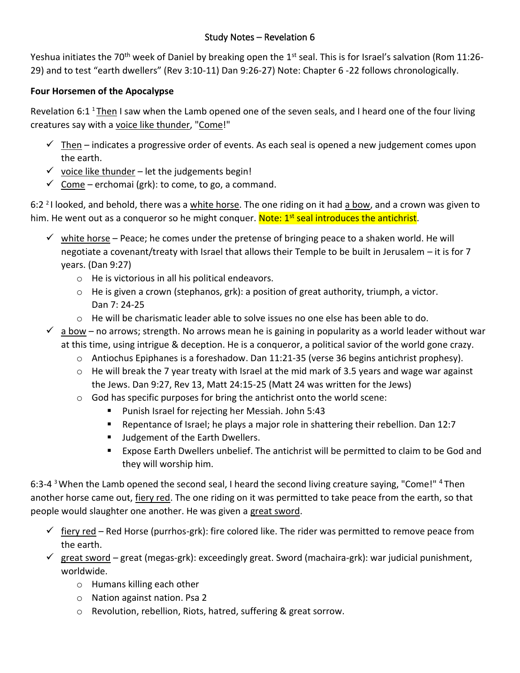Yeshua initiates the 70<sup>th</sup> week of Daniel by breaking open the 1<sup>st</sup> seal. This is for Israel's salvation (Rom 11:26-29) and to test "earth dwellers" (Rev 3:10-11) Dan 9:26-27) Note: Chapter 6 -22 follows chronologically.

## **Four Horsemen of the Apocalypse**

Revelation 6:1<sup>1</sup> Then I saw when the Lamb opened one of the seven seals, and I heard one of the four living creatures say with a voice like thunder, "Come!"

- $\checkmark$  Then indicates a progressive order of events. As each seal is opened a new judgement comes upon the earth.
- $\checkmark$  voice like thunder let the judgements begin!
- $\checkmark$  Come erchomai (grk): to come, to go, a command.

6:2 <sup>2</sup>I looked, and behold, there was a white horse. The one riding on it had a bow, and a crown was given to him. He went out as a conqueror so he might conquer. Note: 1<sup>st</sup> seal introduces the antichrist.

- $\checkmark$  white horse Peace; he comes under the pretense of bringing peace to a shaken world. He will negotiate a covenant/treaty with Israel that allows their Temple to be built in Jerusalem – it is for 7 years. (Dan 9:27)
	- o He is victorious in all his political endeavors.
	- $\circ$  He is given a crown (stephanos, grk): a position of great authority, triumph, a victor. Dan 7: 24-25
	- $\circ$  He will be charismatic leader able to solve issues no one else has been able to do.
- $\checkmark$  a bow no arrows; strength. No arrows mean he is gaining in popularity as a world leader without war at this time, using intrigue & deception. He is a conqueror, a political savior of the world gone crazy.
	- o Antiochus Epiphanes is a foreshadow. Dan 11:21-35 (verse 36 begins antichrist prophesy).
	- $\circ$  He will break the 7 year treaty with Israel at the mid mark of 3.5 years and wage war against the Jews. Dan 9:27, Rev 13, Matt 24:15-25 (Matt 24 was written for the Jews)
	- o God has specific purposes for bring the antichrist onto the world scene:
		- Punish Israel for rejecting her Messiah. John 5:43
		- Repentance of Israel; he plays a major role in shattering their rebellion. Dan 12:7
		- Judgement of the Earth Dwellers.
		- Expose Earth Dwellers unbelief. The antichrist will be permitted to claim to be God and they will worship him.

6:3-4  $3$  When the Lamb opened the second seal, I heard the second living creature saying, "Come!"  $4$  Then another horse came out, fiery red. The one riding on it was permitted to take peace from the earth, so that people would slaughter one another. He was given a great sword.

- $\check{\phantom{\phi}}$  fiery red Red Horse (purrhos-grk): fire colored like. The rider was permitted to remove peace from the earth.
- ✓ great sword great (megas-grk): exceedingly great. Sword (machaira-grk): war judicial punishment, worldwide.
	- o Humans killing each other
	- o Nation against nation. Psa 2
	- o Revolution, rebellion, Riots, hatred, suffering & great sorrow.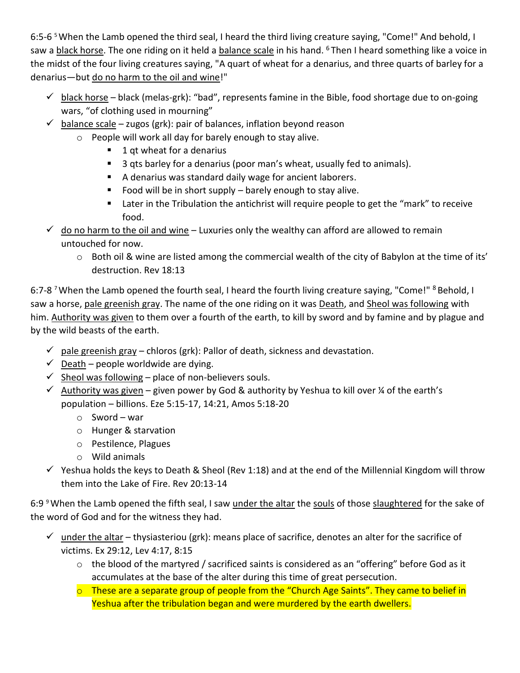6:5-6<sup>5</sup> When the Lamb opened the third seal, I heard the third living creature saying, "Come!" And behold, I saw a black horse. The one riding on it held a balance scale in his hand. <sup>6</sup>Then I heard something like a voice in the midst of the four living creatures saying, "A quart of wheat for a denarius, and three quarts of barley for a denarius—but do no harm to the oil and wine!"

- $\checkmark$  black horse black (melas-grk): "bad", represents famine in the Bible, food shortage due to on-going wars, "of clothing used in mourning"
- $\checkmark$  balance scale zugos (grk): pair of balances, inflation beyond reason
	- o People will work all day for barely enough to stay alive.
		- 1 qt wheat for a denarius
		- 3 qts barley for a denarius (poor man's wheat, usually fed to animals).
		- A denarius was standard daily wage for ancient laborers.
		- Food will be in short supply barely enough to stay alive.
		- Later in the Tribulation the antichrist will require people to get the "mark" to receive food.
- $\checkmark$  do no harm to the oil and wine Luxuries only the wealthy can afford are allowed to remain untouched for now.
	- o Both oil & wine are listed among the commercial wealth of the city of Babylon at the time of its' destruction. Rev 18:13

6:7-8<sup>7</sup> When the Lamb opened the fourth seal, I heard the fourth living creature saying, "Come!" <sup>8</sup> Behold, I saw a horse, pale greenish gray. The name of the one riding on it was Death, and Sheol was following with him. Authority was given to them over a fourth of the earth, to kill by sword and by famine and by plague and by the wild beasts of the earth.

- $\checkmark$  pale greenish gray chloros (grk): Pallor of death, sickness and devastation.
- $\checkmark$  Death people worldwide are dying.
- $\checkmark$  Sheol was following place of non-believers souls.
- $\checkmark$  Authority was given given power by God & authority by Yeshua to kill over % of the earth's population – billions. Eze 5:15-17, 14:21, Amos 5:18-20
	- o Sword war
	- o Hunger & starvation
	- o Pestilence, Plagues
	- o Wild animals
- $\checkmark$  Yeshua holds the keys to Death & Sheol (Rev 1:18) and at the end of the Millennial Kingdom will throw them into the Lake of Fire. Rev 20:13-14

6:9<sup>9</sup> When the Lamb opened the fifth seal, I saw under the altar the souls of those slaughtered for the sake of the word of God and for the witness they had.

- $\checkmark$  under the altar thysiasteriou (grk): means place of sacrifice, denotes an alter for the sacrifice of victims. Ex 29:12, Lev 4:17, 8:15
	- o the blood of the martyred / sacrificed saints is considered as an "offering" before God as it accumulates at the base of the alter during this time of great persecution.
	- $\circ$  These are a separate group of people from the "Church Age Saints". They came to belief in Yeshua after the tribulation began and were murdered by the earth dwellers.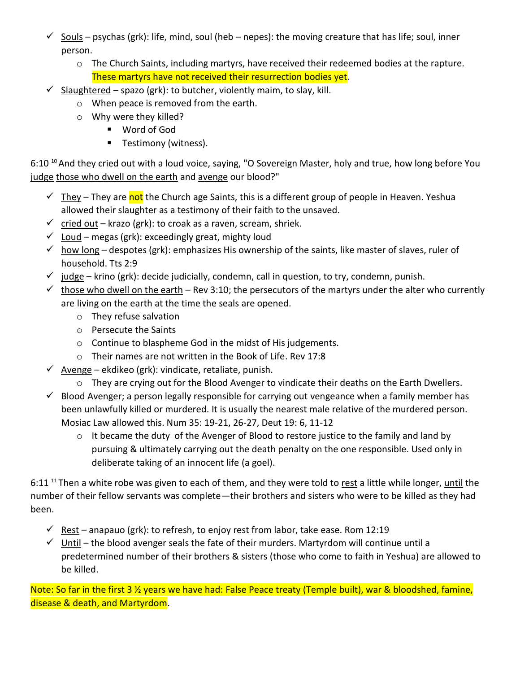- $\checkmark$  Souls psychas (grk): life, mind, soul (heb nepes): the moving creature that has life; soul, inner person.
	- $\circ$  The Church Saints, including martyrs, have received their redeemed bodies at the rapture. These martyrs have not received their resurrection bodies yet.
- $\checkmark$  Slaughtered spazo (grk): to butcher, violently maim, to slay, kill.
	- o When peace is removed from the earth.
	- o Why were they killed?
		- Word of God
		- **E** Testimony (witness).

6:10<sup>10</sup> And they cried out with a loud voice, saying, "O Sovereign Master, holy and true, how long before You judge those who dwell on the earth and avenge our blood?"

- ✓ They They are not the Church age Saints, this is a different group of people in Heaven. Yeshua allowed their slaughter as a testimony of their faith to the unsaved.
- $\checkmark$  cried out krazo (grk): to croak as a raven, scream, shriek.
- $\checkmark$  Loud megas (grk): exceedingly great, mighty loud
- $\checkmark$  how long despotes (grk): emphasizes His ownership of the saints, like master of slaves, ruler of household. Tts 2:9
- $\checkmark$  judge krino (grk): decide judicially, condemn, call in question, to try, condemn, punish.
- $\checkmark$  those who dwell on the earth Rev 3:10; the persecutors of the martyrs under the alter who currently are living on the earth at the time the seals are opened.
	- o They refuse salvation
	- o Persecute the Saints
	- o Continue to blaspheme God in the midst of His judgements.
	- o Their names are not written in the Book of Life. Rev 17:8
- $\checkmark$  Avenge ekdikeo (grk): vindicate, retaliate, punish.
	- o They are crying out for the Blood Avenger to vindicate their deaths on the Earth Dwellers.
- $\checkmark$  Blood Avenger; a person legally responsible for carrying out vengeance when a family member has been unlawfully killed or murdered. It is usually the nearest male relative of the murdered person. Mosiac Law allowed this. Num 35: 19-21, 26-27, Deut 19: 6, 11-12
	- o It became the duty of the Avenger of Blood to restore justice to the family and land by pursuing & ultimately carrying out the death penalty on the one responsible. Used only in deliberate taking of an innocent life (a goel).

6:11<sup>11</sup> Then a white robe was given to each of them, and they were told to rest a little while longer, until the number of their fellow servants was complete—their brothers and sisters who were to be killed as they had been.

- $\checkmark$  Rest anapauo (grk): to refresh, to enjoy rest from labor, take ease. Rom 12:19
- $\checkmark$  Until the blood avenger seals the fate of their murders. Martyrdom will continue until a predetermined number of their brothers & sisters (those who come to faith in Yeshua) are allowed to be killed.

Note: So far in the first 3 ½ years we have had: False Peace treaty (Temple built), war & bloodshed, famine, disease & death, and Martyrdom.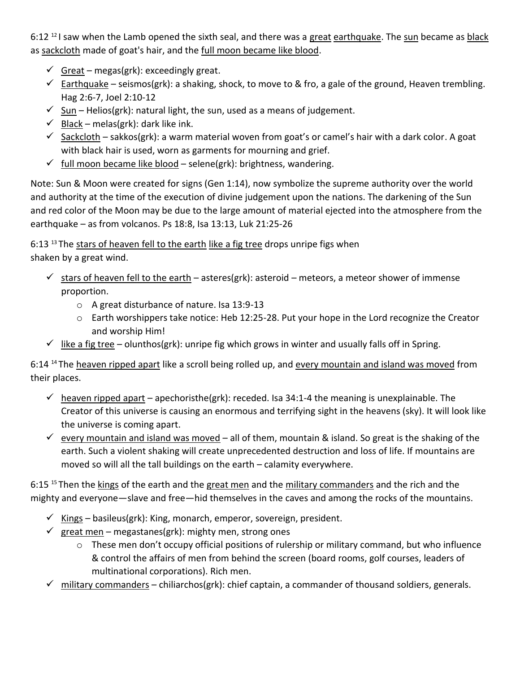$6:12<sup>12</sup>$  I saw when the Lamb opened the sixth seal, and there was a great earthquake. The sun became as black as sackcloth made of goat's hair, and the full moon became like blood.

- $\checkmark$  Great megas(grk): exceedingly great.
- $\checkmark$  Earthquake seismos(grk): a shaking, shock, to move to & fro, a gale of the ground, Heaven trembling. Hag 2:6-7, Joel 2:10-12
- $\checkmark$  Sun Helios(grk): natural light, the sun, used as a means of judgement.
- $\checkmark$  Black melas(grk): dark like ink.
- $\checkmark$  Sackcloth sakkos(grk): a warm material woven from goat's or camel's hair with a dark color. A goat with black hair is used, worn as garments for mourning and grief.
- $\checkmark$  full moon became like blood selene(grk): brightness, wandering.

Note: Sun & Moon were created for signs (Gen 1:14), now symbolize the supreme authority over the world and authority at the time of the execution of divine judgement upon the nations. The darkening of the Sun and red color of the Moon may be due to the large amount of material ejected into the atmosphere from the earthquake – as from volcanos. Ps 18:8, Isa 13:13, Luk 21:25-26

6:13 <sup>13</sup>The stars of heaven fell to the earth like a fig tree drops unripe figs when shaken by a great wind.

- $\checkmark$  stars of heaven fell to the earth asteres(grk): asteroid meteors, a meteor shower of immense proportion.
	- o A great disturbance of nature. Isa 13:9-13
	- o Earth worshippers take notice: Heb 12:25-28. Put your hope in the Lord recognize the Creator and worship Him!
- $\checkmark$  like a fig tree olunthos(grk): unripe fig which grows in winter and usually falls off in Spring.

6:14<sup>14</sup> The heaven ripped apart like a scroll being rolled up, and every mountain and island was moved from their places.

- $\checkmark$  heaven ripped apart apechoristhe(grk): receded. Isa 34:1-4 the meaning is unexplainable. The Creator of this universe is causing an enormous and terrifying sight in the heavens (sky). It will look like the universe is coming apart.
- $\checkmark$  every mountain and island was moved all of them, mountain & island. So great is the shaking of the earth. Such a violent shaking will create unprecedented destruction and loss of life. If mountains are moved so will all the tall buildings on the earth – calamity everywhere.

6:15 <sup>15</sup> Then the kings of the earth and the great men and the military commanders and the rich and the mighty and everyone—slave and free—hid themselves in the caves and among the rocks of the mountains.

- $\checkmark$  Kings basileus(grk): King, monarch, emperor, sovereign, president.
- $\checkmark$  great men megastanes(grk): mighty men, strong ones
	- o These men don't occupy official positions of rulership or military command, but who influence & control the affairs of men from behind the screen (board rooms, golf courses, leaders of multinational corporations). Rich men.
- $\checkmark$  military commanders chiliarchos(grk): chief captain, a commander of thousand soldiers, generals.